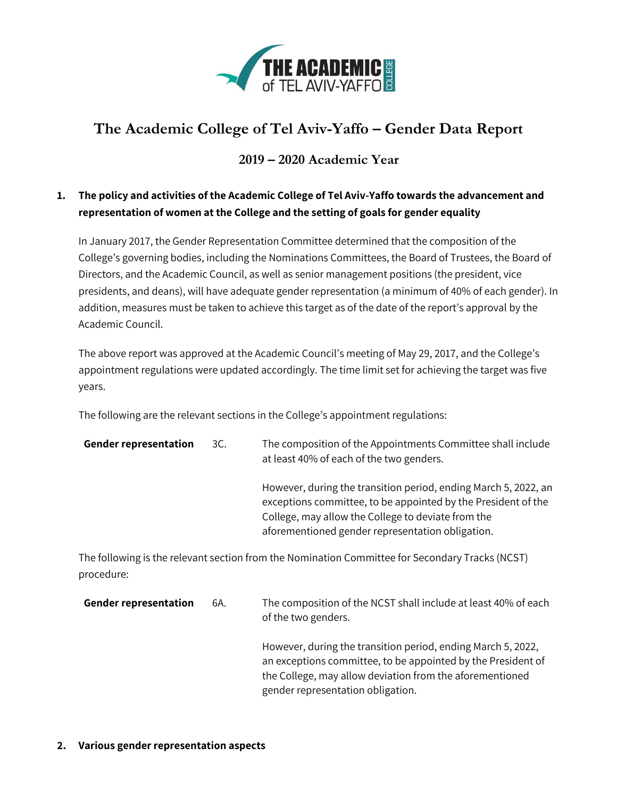

# **The Academic College of Tel Aviv-Yaffo – Gender Data Report**

# **2019 – 2020 Academic Year**

# **1. The policy and activities of the Academic College of Tel Aviv-Yaffo towards the advancement and representation of women at the College and the setting of goals for gender equality**

In January 2017, the Gender Representation Committee determined that the composition of the College's governing bodies, including the Nominations Committees, the Board of Trustees, the Board of Directors, and the Academic Council, as well as senior management positions (the president, vice presidents, and deans), will have adequate gender representation (a minimum of 40% of each gender). In addition, measures must be taken to achieve this target as of the date of the report's approval by the Academic Council.

The above report was approved at the Academic Council's meeting of May 29, 2017, and the College's appointment regulations were updated accordingly. The time limit set for achieving the target was five years.

The following are the relevant sections in the College's appointment regulations:

| <b>Gender representation</b> | 3C. | The composition of the Appointments Committee shall include<br>at least 40% of each of the two genders.                                                                                                                                    |
|------------------------------|-----|--------------------------------------------------------------------------------------------------------------------------------------------------------------------------------------------------------------------------------------------|
|                              |     | However, during the transition period, ending March 5, 2022, an<br>exceptions committee, to be appointed by the President of the<br>College, may allow the College to deviate from the<br>aforementioned gender representation obligation. |

The following is the relevant section from the Nomination Committee for Secondary Tracks (NCST) procedure:

| <b>Gender representation</b> | 6A. | The composition of the NCST shall include at least 40% of each<br>of the two genders.                                                                                                                                         |
|------------------------------|-----|-------------------------------------------------------------------------------------------------------------------------------------------------------------------------------------------------------------------------------|
|                              |     | However, during the transition period, ending March 5, 2022,<br>an exceptions committee, to be appointed by the President of<br>the College, may allow deviation from the aforementioned<br>gender representation obligation. |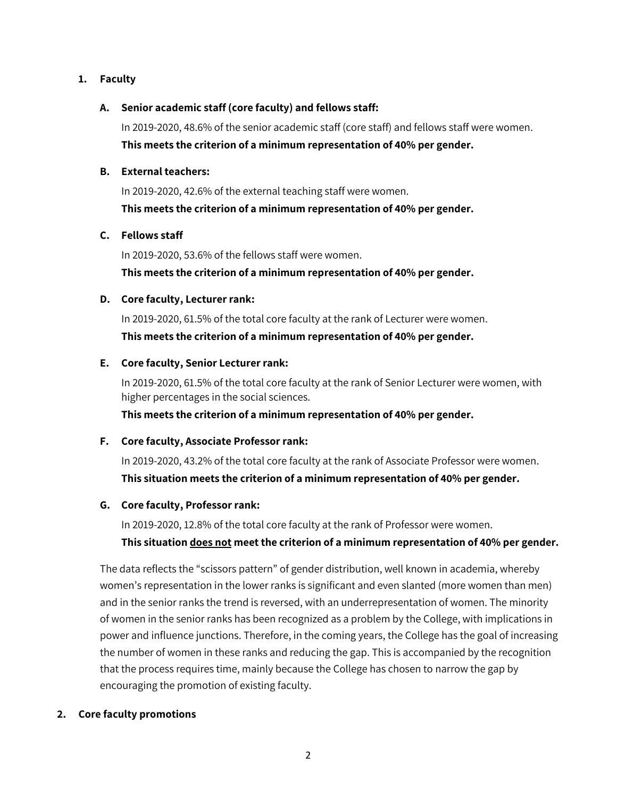### **1. Faculty**

# **A. Senior academic staff (core faculty) and fellows staff:**

In 2019-2020, 48.6% of the senior academic staff (core staff) and fellows staff were women. **This meets the criterion of a minimum representation of 40% per gender.**

## **B. External teachers:**

In 2019-2020, 42.6% of the external teaching staff were women. **This meets the criterion of a minimum representation of 40% per gender.**

# **C. Fellows staff**

In 2019-2020, 53.6% of the fellows staff were women. **This meets the criterion of a minimum representation of 40% per gender.**

# **D. Core faculty, Lecturer rank:**

In 2019-2020, 61.5% of the total core faculty at the rank of Lecturer were women. **This meets the criterion of a minimum representation of 40% per gender.**

# **E. Core faculty, Senior Lecturer rank:**

In 2019-2020, 61.5% of the total core faculty at the rank of Senior Lecturer were women, with higher percentages in the social sciences.

**This meets the criterion of a minimum representation of 40% per gender.**

# **F. Core faculty, Associate Professor rank:**

In 2019-2020, 43.2% of the total core faculty at the rank of Associate Professor were women. **This situation meets the criterion of a minimum representation of 40% per gender.**

# **G. Core faculty, Professor rank:**

In 2019-2020, 12.8% of the total core faculty at the rank of Professor were women.

# **This situation does not meet the criterion of a minimum representation of 40% per gender.**

The data reflects the "scissors pattern" of gender distribution, well known in academia, whereby women's representation in the lower ranks is significant and even slanted (more women than men) and in the senior ranks the trend is reversed, with an underrepresentation of women. The minority of women in the senior ranks has been recognized as a problem by the College, with implications in power and influence junctions. Therefore, in the coming years, the College has the goal of increasing the number of women in these ranks and reducing the gap. This is accompanied by the recognition that the process requires time, mainly because the College has chosen to narrow the gap by encouraging the promotion of existing faculty.

# **2. Core faculty promotions**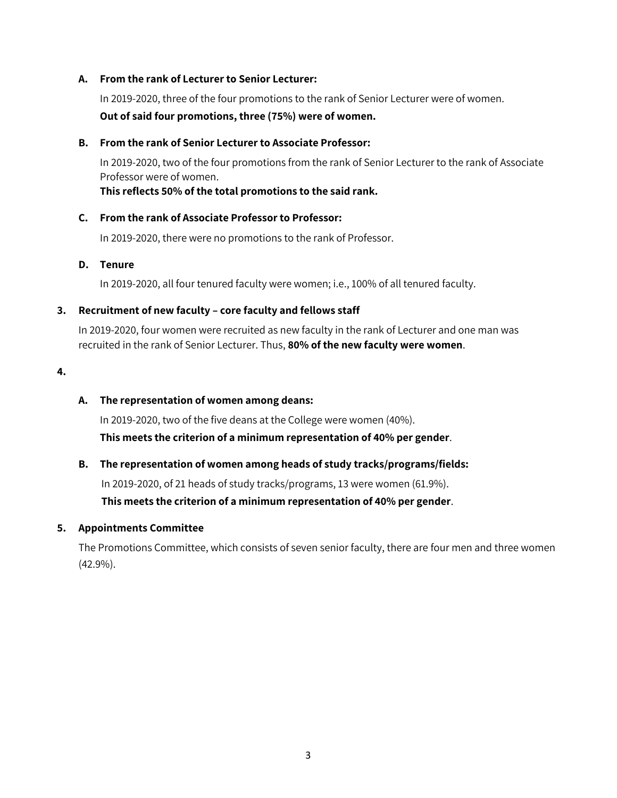#### **A. From the rank of Lecturer to Senior Lecturer:**

In 2019-2020, three of the four promotions to the rank of Senior Lecturer were of women. **Out of said four promotions, three (75%) were of women.**

#### **B. From the rank of Senior Lecturer to Associate Professor:**

In 2019-2020, two of the four promotions from the rank of Senior Lecturer to the rank of Associate Professor were of women.

**This reflects 50% of the total promotions to the said rank.**

#### **C. From the rank of Associate Professor to Professor:**

In 2019-2020, there were no promotions to the rank of Professor.

#### **D. Tenure**

In 2019-2020, all four tenured faculty were women; i.e., 100% of all tenured faculty.

#### **3. Recruitment of new faculty – core faculty and fellows staff**

In 2019-2020, four women were recruited as new faculty in the rank of Lecturer and one man was recruited in the rank of Senior Lecturer. Thus, **80% of the new faculty were women**.

**4.** 

#### **A. The representation of women among deans:**

In 2019-2020, two of the five deans at the College were women (40%).

**This meets the criterion of a minimum representation of 40% per gender**.

# **B. The representation of women among heads of study tracks/programs/fields:**

In 2019-2020, of 21 heads of study tracks/programs, 13 were women (61.9%).

**This meets the criterion of a minimum representation of 40% per gender**.

#### **5. Appointments Committee**

The Promotions Committee, which consists of seven senior faculty, there are four men and three women (42.9%).